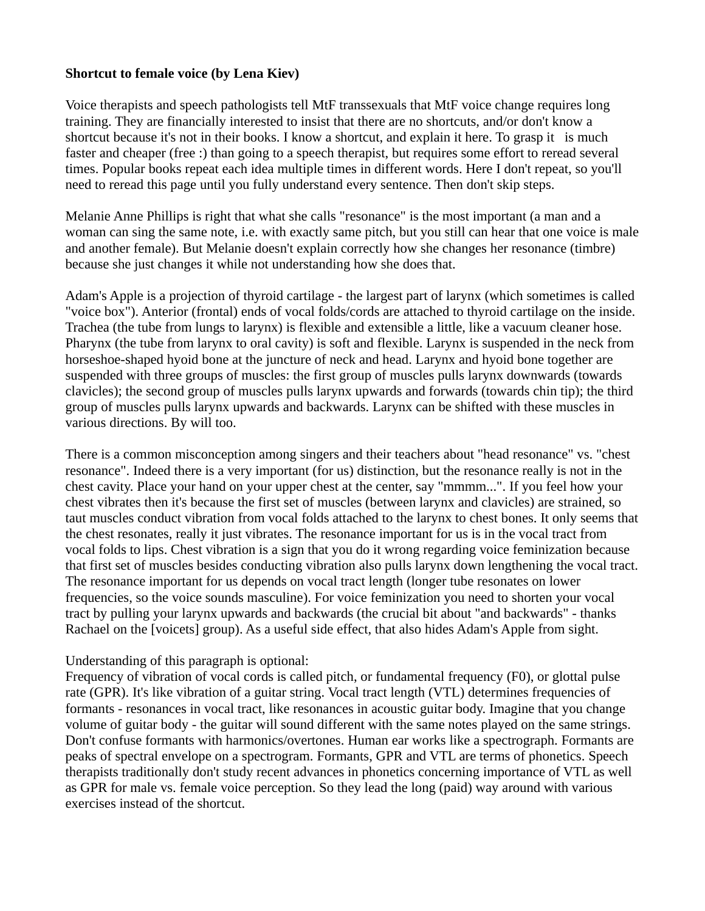## **Shortcut to female voice (by Lena Kiev)**

Voice therapists and speech pathologists tell MtF transsexuals that MtF voice change requires long training. They are financially interested to insist that there are no shortcuts, and/or don't know a shortcut because it's not in their books. I know a shortcut, and explain it here. To grasp it is much faster and cheaper (free :) than going to a speech therapist, but requires some effort to reread several times. Popular books repeat each idea multiple times in different words. Here I don't repeat, so you'll need to reread this page until you fully understand every sentence. Then don't skip steps.

Melanie Anne Phillips is right that what she calls "resonance" is the most important (a man and a woman can sing the same note, i.e. with exactly same pitch, but you still can hear that one voice is male and another female). But Melanie doesn't explain correctly how she changes her resonance (timbre) because she just changes it while not understanding how she does that.

Adam's Apple is a projection of thyroid cartilage - the largest part of larynx (which sometimes is called "voice box"). Anterior (frontal) ends of vocal folds/cords are attached to thyroid cartilage on the inside. Trachea (the tube from lungs to larynx) is flexible and extensible a little, like a vacuum cleaner hose. Pharynx (the tube from larynx to oral cavity) is soft and flexible. Larynx is suspended in the neck from horseshoe-shaped hyoid bone at the juncture of neck and head. Larynx and hyoid bone together are suspended with three groups of muscles: the first group of muscles pulls larynx downwards (towards clavicles); the second group of muscles pulls larynx upwards and forwards (towards chin tip); the third group of muscles pulls larynx upwards and backwards. Larynx can be shifted with these muscles in various directions. By will too.

There is a common misconception among singers and their teachers about "head resonance" vs. "chest resonance". Indeed there is a very important (for us) distinction, but the resonance really is not in the chest cavity. Place your hand on your upper chest at the center, say "mmmm...". If you feel how your chest vibrates then it's because the first set of muscles (between larynx and clavicles) are strained, so taut muscles conduct vibration from vocal folds attached to the larynx to chest bones. It only seems that the chest resonates, really it just vibrates. The resonance important for us is in the vocal tract from vocal folds to lips. Chest vibration is a sign that you do it wrong regarding voice feminization because that first set of muscles besides conducting vibration also pulls larynx down lengthening the vocal tract. The resonance important for us depends on vocal tract length (longer tube resonates on lower frequencies, so the voice sounds masculine). For voice feminization you need to shorten your vocal tract by pulling your larynx upwards and backwards (the crucial bit about "and backwards" - thanks Rachael on the [voicets] group). As a useful side effect, that also hides Adam's Apple from sight.

## Understanding of this paragraph is optional:

Frequency of vibration of vocal cords is called pitch, or fundamental frequency (F0), or glottal pulse rate (GPR). It's like vibration of a guitar string. Vocal tract length (VTL) determines frequencies of formants - resonances in vocal tract, like resonances in acoustic guitar body. Imagine that you change volume of guitar body - the guitar will sound different with the same notes played on the same strings. Don't confuse formants with harmonics/overtones. Human ear works like a spectrograph. Formants are peaks of spectral envelope on a spectrogram. Formants, GPR and VTL are terms of phonetics. Speech therapists traditionally don't study recent advances in phonetics concerning importance of VTL as well as GPR for male vs. female voice perception. So they lead the long (paid) way around with various exercises instead of the shortcut.